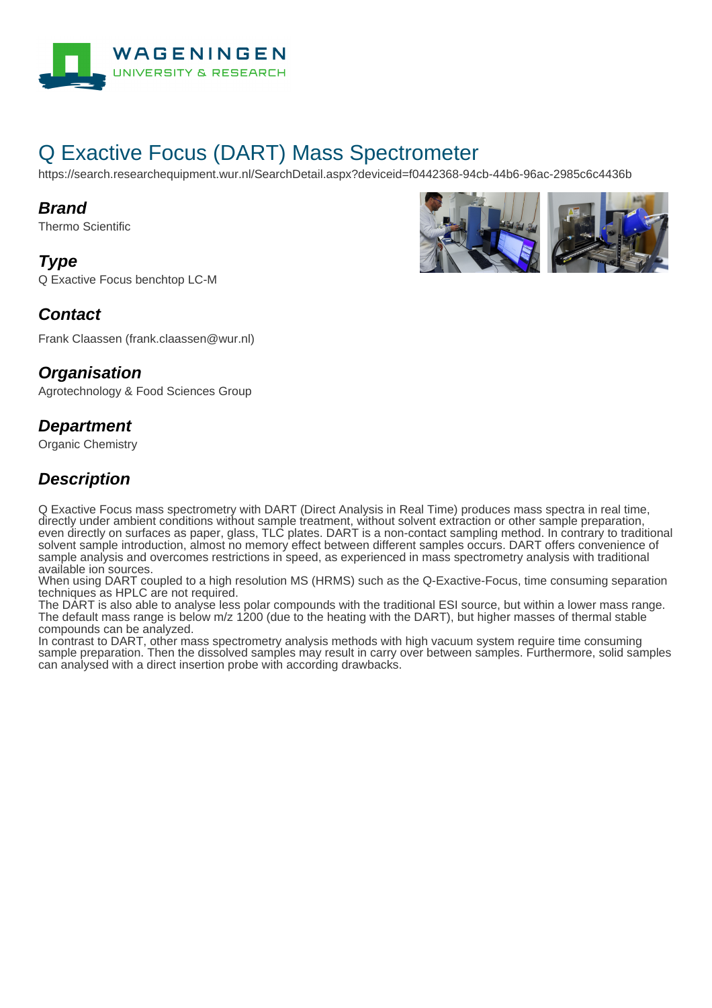

# Q Exactive Focus (DART) Mass Spectrometer

https://search.researchequipment.wur.nl/SearchDetail.aspx?deviceid=f0442368-94cb-44b6-96ac-2985c6c4436b

#### **Brand**

Thermo Scientific

#### **Type**

Q Exactive Focus benchtop LC-M



Frank Claassen (frank.claassen@wur.nl)

#### **Organisation**

Agrotechnology & Food Sciences Group

#### **Department**

Organic Chemistry

### **Description**

Q Exactive Focus mass spectrometry with DART (Direct Analysis in Real Time) produces mass spectra in real time, directly under ambient conditions without sample treatment, without solvent extraction or other sample preparation, even directly on surfaces as paper, glass, TLC plates. DART is a non-contact sampling method. In contrary to traditional solvent sample introduction, almost no memory effect between different samples occurs. DART offers convenience of sample analysis and overcomes restrictions in speed, as experienced in mass spectrometry analysis with traditional available ion sources.

When using DART coupled to a high resolution MS (HRMS) such as the Q-Exactive-Focus, time consuming separation techniques as HPLC are not required.

The DART is also able to analyse less polar compounds with the traditional ESI source, but within a lower mass range. The default mass range is below m/z 1200 (due to the heating with the DART), but higher masses of thermal stable compounds can be analyzed.

In contrast to DART, other mass spectrometry analysis methods with high vacuum system require time consuming sample preparation. Then the dissolved samples may result in carry over between samples. Furthermore, solid samples can analysed with a direct insertion probe with according drawbacks.